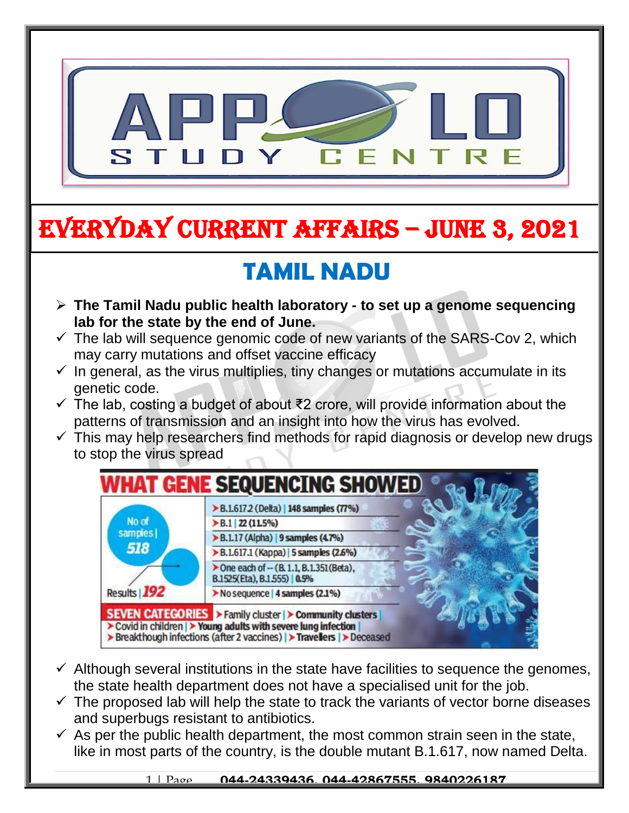

# EVERYDAY CURRENT AFFAIRS – JUNE 3, 2021

-

# **TAMIL NADU**

- **The Tamil Nadu public health laboratory - to set up a genome sequencing lab for the state by the end of June.**
- $\checkmark$  The lab will sequence genomic code of new variants of the SARS-Cov 2, which may carry mutations and offset vaccine efficacy
- $\checkmark$  In general, as the virus multiplies, tiny changes or mutations accumulate in its genetic code.
- The lab, costing a budget of about ₹2 crore, will provide information about the patterns of transmission and an insight into how the virus has evolved.
- $\checkmark$  This may help researchers find methods for rapid diagnosis or develop new drugs to stop the virus spread



- $\checkmark$  Although several institutions in the state have facilities to sequence the genomes, the state health department does not have a specialised unit for the job.
- $\checkmark$  The proposed lab will help the state to track the variants of vector borne diseases and superbugs resistant to antibiotics.
- $\checkmark$  As per the public health department, the most common strain seen in the state, like in most parts of the country, is the double mutant B.1.617, now named Delta.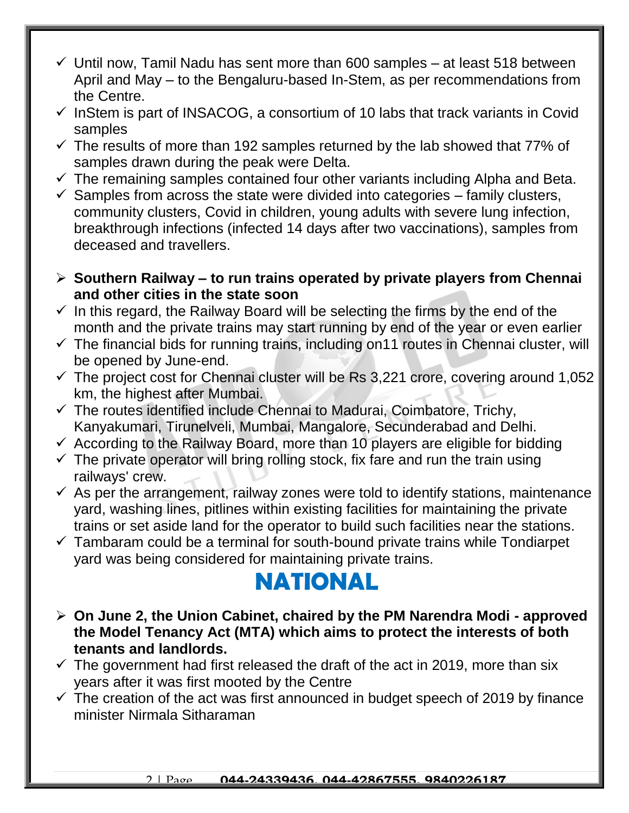- $\checkmark$  Until now, Tamil Nadu has sent more than 600 samples at least 518 between April and May – to the Bengaluru-based In-Stem, as per recommendations from the Centre.
- $\checkmark$  InStem is part of INSACOG, a consortium of 10 labs that track variants in Covid samples
- $\checkmark$  The results of more than 192 samples returned by the lab showed that 77% of samples drawn during the peak were Delta.
- $\checkmark$  The remaining samples contained four other variants including Alpha and Beta.
- $\checkmark$  Samples from across the state were divided into categories family clusters, community clusters, Covid in children, young adults with severe lung infection, breakthrough infections (infected 14 days after two vaccinations), samples from deceased and travellers.
- **Southern Railway – to run trains operated by private players from Chennai and other cities in the state soon**
- $\checkmark$  In this regard, the Railway Board will be selecting the firms by the end of the month and the private trains may start running by end of the year or even earlier
- $\checkmark$  The financial bids for running trains, including on 11 routes in Chennai cluster, will be opened by June-end.
- $\checkmark$  The project cost for Chennai cluster will be Rs 3,221 crore, covering around 1,052 km, the highest after Mumbai.
- $\checkmark$  The routes identified include Chennai to Madurai, Coimbatore, Trichy, Kanyakumari, Tirunelveli, Mumbai, Mangalore, Secunderabad and Delhi.
- $\checkmark$  According to the Railway Board, more than 10 players are eligible for bidding
- $\checkmark$  The private operator will bring rolling stock, fix fare and run the train using railways' crew.
- $\checkmark$  As per the arrangement, railway zones were told to identify stations, maintenance yard, washing lines, pitlines within existing facilities for maintaining the private trains or set aside land for the operator to build such facilities near the stations.
- $\checkmark$  Tambaram could be a terminal for south-bound private trains while Tondiarpet yard was being considered for maintaining private trains.

#### **NATIONAL**

- **On June 2, the Union Cabinet, chaired by the PM Narendra Modi - approved the Model Tenancy Act (MTA) which aims to protect the interests of both tenants and landlords.**
- $\checkmark$  The government had first released the draft of the act in 2019, more than six years after it was first mooted by the Centre
- $\checkmark$  The creation of the act was first announced in budget speech of 2019 by finance minister Nirmala Sitharaman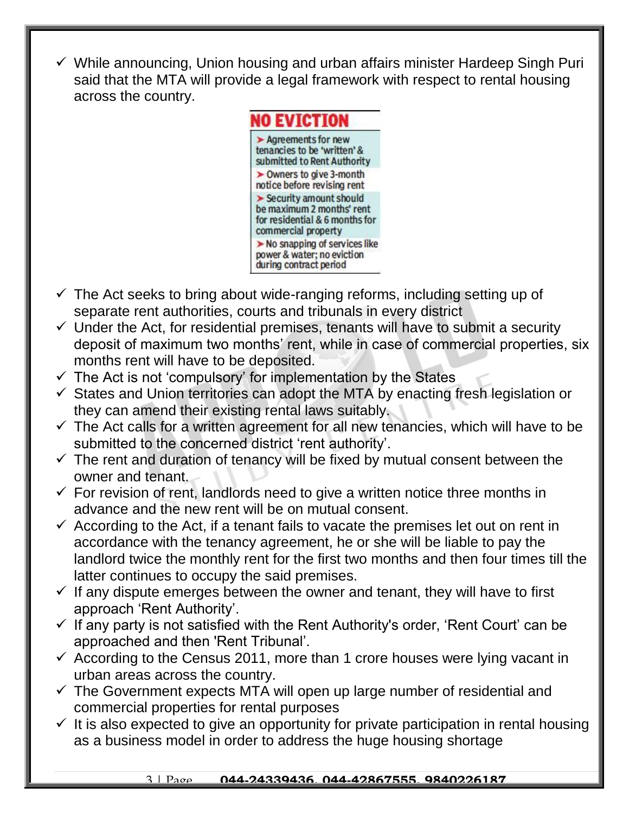$\checkmark$  While announcing, Union housing and urban affairs minister Hardeep Singh Puri said that the MTA will provide a legal framework with respect to rental housing across the country.



- $\checkmark$  The Act seeks to bring about wide-ranging reforms, including setting up of separate rent authorities, courts and tribunals in every district
- $\checkmark$  Under the Act, for residential premises, tenants will have to submit a security deposit of maximum two months' rent, while in case of commercial properties, six months rent will have to be deposited.
- $\checkmark$  The Act is not 'compulsory' for implementation by the States
- $\checkmark$  States and Union territories can adopt the MTA by enacting fresh legislation or they can amend their existing rental laws suitably.
- $\checkmark$  The Act calls for a written agreement for all new tenancies, which will have to be submitted to the concerned district 'rent authority'.
- $\checkmark$  The rent and duration of tenancy will be fixed by mutual consent between the owner and tenant.
- $\checkmark$  For revision of rent, landlords need to give a written notice three months in advance and the new rent will be on mutual consent.
- $\checkmark$  According to the Act, if a tenant fails to vacate the premises let out on rent in accordance with the tenancy agreement, he or she will be liable to pay the landlord twice the monthly rent for the first two months and then four times till the latter continues to occupy the said premises.
- $\checkmark$  If any dispute emerges between the owner and tenant, they will have to first approach 'Rent Authority'.
- $\checkmark$  If any party is not satisfied with the Rent Authority's order, 'Rent Court' can be approached and then 'Rent Tribunal'.
- $\checkmark$  According to the Census 2011, more than 1 crore houses were lying vacant in urban areas across the country.
- $\checkmark$  The Government expects MTA will open up large number of residential and commercial properties for rental purposes
- $\checkmark$  It is also expected to give an opportunity for private participation in rental housing as a business model in order to address the huge housing shortage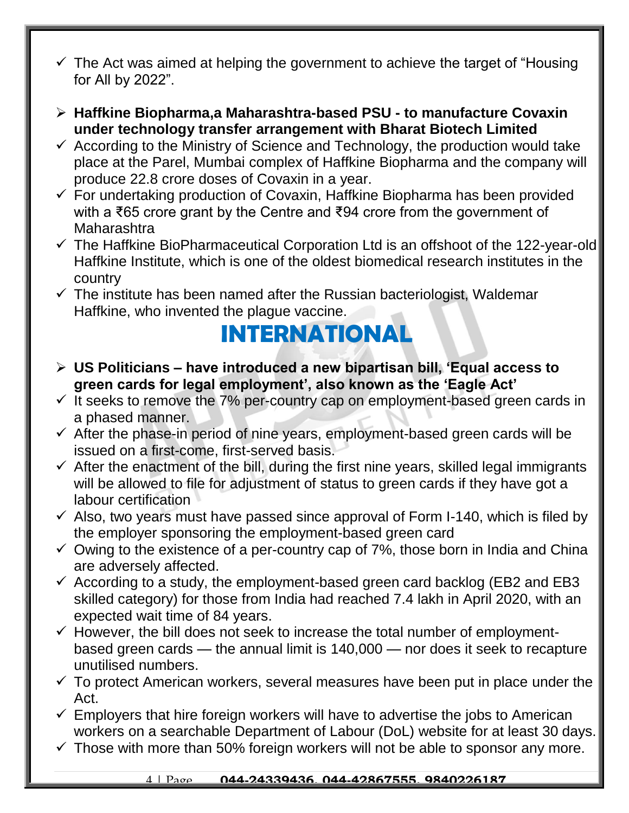- $\checkmark$  The Act was aimed at helping the government to achieve the target of "Housing" for All by 2022".
- **Haffkine Biopharma,a Maharashtra-based PSU - to manufacture Covaxin under technology transfer arrangement with Bharat Biotech Limited**
- $\checkmark$  According to the Ministry of Science and Technology, the production would take place at the Parel, Mumbai complex of Haffkine Biopharma and the company will produce 22.8 crore doses of Covaxin in a year.
- $\checkmark$  For undertaking production of Covaxin, Haffkine Biopharma has been provided with a ₹65 crore grant by the Centre and ₹94 crore from the government of Maharashtra
- The Haffkine BioPharmaceutical Corporation Ltd is an offshoot of the 122-year-old Haffkine Institute, which is one of the oldest biomedical research institutes in the country
- $\checkmark$  The institute has been named after the Russian bacteriologist, Waldemar Haffkine, who invented the plague vaccine.

#### **INTERNATIONAL**

- **US Politicians – have introduced a new bipartisan bill, 'Equal access to green cards for legal employment', also known as the 'Eagle Act'**
- $\checkmark$  It seeks to remove the 7% per-country cap on employment-based green cards in a phased manner.
- $\checkmark$  After the phase-in period of nine years, employment-based green cards will be issued on a first-come, first-served basis.
- $\checkmark$  After the enactment of the bill, during the first nine years, skilled legal immigrants will be allowed to file for adjustment of status to green cards if they have got a labour certification
- $\checkmark$  Also, two years must have passed since approval of Form I-140, which is filed by the employer sponsoring the employment-based green card
- $\checkmark$  Owing to the existence of a per-country cap of 7%, those born in India and China are adversely affected.
- $\checkmark$  According to a study, the employment-based green card backlog (EB2 and EB3 skilled category) for those from India had reached 7.4 lakh in April 2020, with an expected wait time of 84 years.
- $\checkmark$  However, the bill does not seek to increase the total number of employmentbased green cards — the annual limit is 140,000 — nor does it seek to recapture unutilised numbers.
- $\checkmark$  To protect American workers, several measures have been put in place under the Act.
- $\checkmark$  Employers that hire foreign workers will have to advertise the jobs to American workers on a searchable Department of Labour (DoL) website for at least 30 days.
- $\checkmark$  Those with more than 50% foreign workers will not be able to sponsor any more.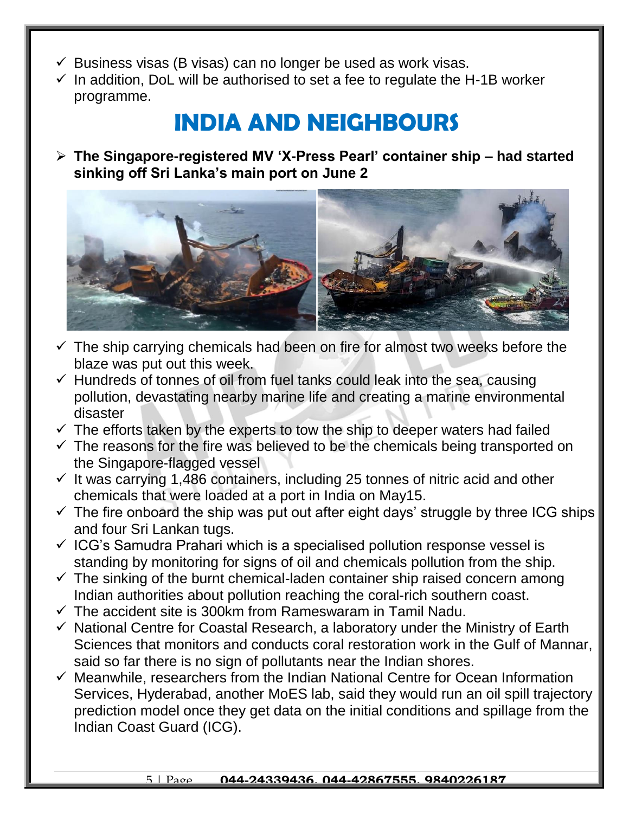- $\checkmark$  Business visas (B visas) can no longer be used as work visas.
- $\checkmark$  In addition, DoL will be authorised to set a fee to regulate the H-1B worker programme.

#### **INDIA AND NEIGHBOURS**

 **The Singapore-registered MV 'X-Press Pearl' container ship – had started sinking off Sri Lanka's main port on June 2**



- $\checkmark$  The ship carrying chemicals had been on fire for almost two weeks before the blaze was put out this week.
- $\checkmark$  Hundreds of tonnes of oil from fuel tanks could leak into the sea, causing pollution, devastating nearby marine life and creating a marine environmental disaster
- $\checkmark$  The efforts taken by the experts to tow the ship to deeper waters had failed
- $\checkmark$  The reasons for the fire was believed to be the chemicals being transported on the Singapore-flagged vessel
- $\checkmark$  It was carrying 1,486 containers, including 25 tonnes of nitric acid and other chemicals that were loaded at a port in India on May15.
- $\checkmark$  The fire onboard the ship was put out after eight days' struggle by three ICG ships and four Sri Lankan tugs.
- $\checkmark$  ICG's Samudra Prahari which is a specialised pollution response vessel is standing by monitoring for signs of oil and chemicals pollution from the ship.
- $\checkmark$  The sinking of the burnt chemical-laden container ship raised concern among Indian authorities about pollution reaching the coral-rich southern coast.
- $\checkmark$  The accident site is 300km from Rameswaram in Tamil Nadu.
- $\checkmark$  National Centre for Coastal Research, a laboratory under the Ministry of Earth Sciences that monitors and conducts coral restoration work in the Gulf of Mannar, said so far there is no sign of pollutants near the Indian shores.
- $\checkmark$  Meanwhile, researchers from the Indian National Centre for Ocean Information Services, Hyderabad, another MoES lab, said they would run an oil spill trajectory prediction model once they get data on the initial conditions and spillage from the Indian Coast Guard (ICG).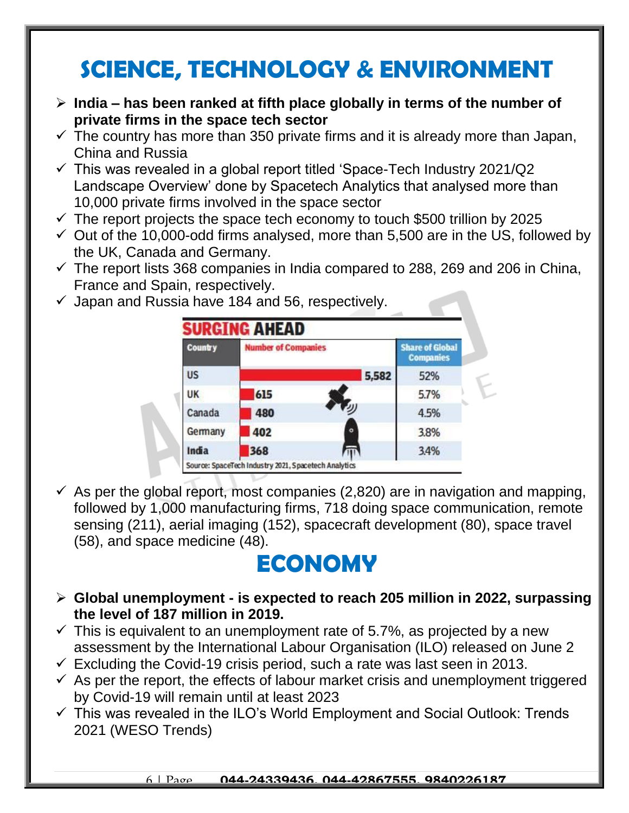## **SCIENCE, TECHNOLOGY & ENVIRONMENT**

- **India – has been ranked at fifth place globally in terms of the number of private firms in the space tech sector**
- $\checkmark$  The country has more than 350 private firms and it is already more than Japan, China and Russia
- $\checkmark$  This was revealed in a global report titled 'Space-Tech Industry 2021/Q2 Landscape Overview' done by Spacetech Analytics that analysed more than 10,000 private firms involved in the space sector
- $\checkmark$  The report projects the space tech economy to touch \$500 trillion by 2025
- $\checkmark$  Out of the 10,000-odd firms analysed, more than 5,500 are in the US, followed by the UK, Canada and Germany.
- $\checkmark$  The report lists 368 companies in India compared to 288, 269 and 206 in China, France and Spain, respectively.
- $\checkmark$  Japan and Russia have 184 and 56, respectively.



 $\checkmark$  As per the global report, most companies (2,820) are in navigation and mapping, followed by 1,000 manufacturing firms, 718 doing space communication, remote sensing (211), aerial imaging (152), spacecraft development (80), space travel (58), and space medicine (48).

### **ECONOMY**

- **Global unemployment - is expected to reach 205 million in 2022, surpassing the level of 187 million in 2019.**
- $\checkmark$  This is equivalent to an unemployment rate of 5.7%, as projected by a new assessment by the International Labour Organisation (ILO) released on June 2
- $\checkmark$  Excluding the Covid-19 crisis period, such a rate was last seen in 2013.
- $\checkmark$  As per the report, the effects of labour market crisis and unemployment triggered by Covid-19 will remain until at least 2023
- $\checkmark$  This was revealed in the ILO's World Employment and Social Outlook: Trends 2021 (WESO Trends)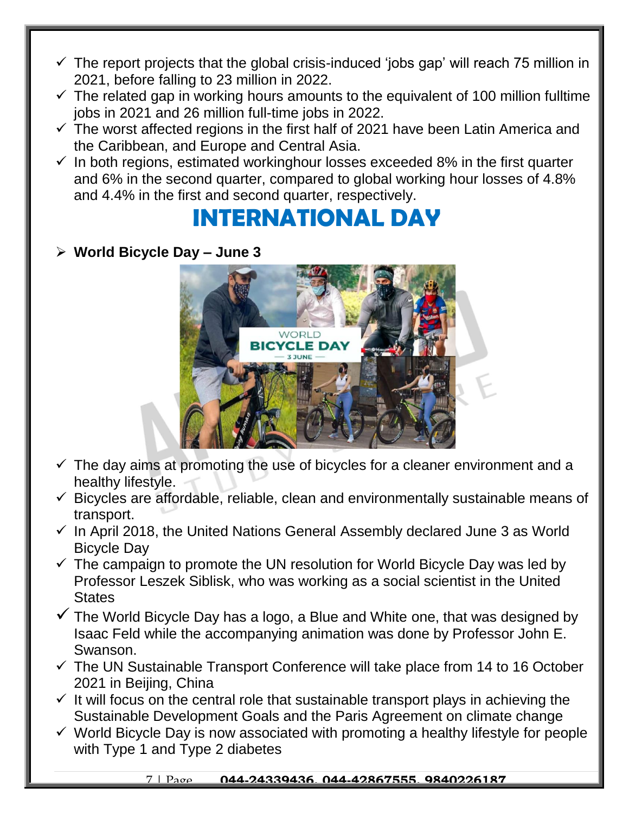- $\checkmark$  The report projects that the global crisis-induced 'jobs gap' will reach 75 million in 2021, before falling to 23 million in 2022.
- $\checkmark$  The related gap in working hours amounts to the equivalent of 100 million fulltime jobs in 2021 and 26 million full-time jobs in 2022.
- $\checkmark$  The worst affected regions in the first half of 2021 have been Latin America and the Caribbean, and Europe and Central Asia.
- $\checkmark$  In both regions, estimated workinghour losses exceeded 8% in the first quarter and 6% in the second quarter, compared to global working hour losses of 4.8% and 4.4% in the first and second quarter, respectively.

#### **INTERNATIONAL DAY**

#### **World Bicycle Day – June 3**



- $\checkmark$  The day aims at promoting the use of bicycles for a cleaner environment and a healthy lifestyle.
- $\checkmark$  Bicycles are affordable, reliable, clean and environmentally sustainable means of transport.
- $\checkmark$  In April 2018, the United Nations General Assembly declared June 3 as World Bicycle Day
- $\checkmark$  The campaign to promote the UN resolution for World Bicycle Day was led by Professor Leszek Siblisk, who was working as a social scientist in the United **States**
- $\checkmark$  The World Bicycle Day has a logo, a Blue and White one, that was designed by Isaac Feld while the accompanying animation was done by Professor John E. Swanson.
- $\checkmark$  The UN Sustainable Transport Conference will take place from 14 to 16 October 2021 in Beijing, China
- $\checkmark$  It will focus on the central role that sustainable transport plays in achieving the Sustainable Development Goals and the Paris Agreement on climate change
- $\checkmark$  World Bicycle Day is now associated with promoting a healthy lifestyle for people with Type 1 and Type 2 diabetes